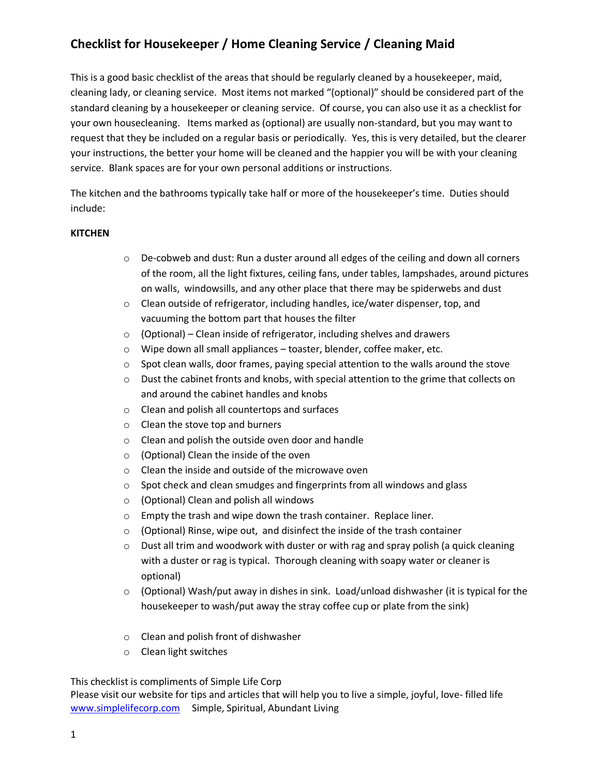This is a good basic checklist of the areas that should be regularly cleaned by a housekeeper, maid, cleaning lady, or cleaning service. Most items not marked "(optional)" should be considered part of the standard cleaning by a housekeeper or cleaning service. Of course, you can also use it as a checklist for your own housecleaning. Items marked as (optional) are usually non-standard, but you may want to request that they be included on a regular basis or periodically. Yes, this is very detailed, but the clearer your instructions, the better your home will be cleaned and the happier you will be with your cleaning service. Blank spaces are for your own personal additions or instructions.

The kitchen and the bathrooms typically take half or more of the housekeeper's time. Duties should include:

#### **KITCHEN**

- $\circ$  De-cobweb and dust: Run a duster around all edges of the ceiling and down all corners of the room, all the light fixtures, ceiling fans, under tables, lampshades, around pictures on walls, windowsills, and any other place that there may be spiderwebs and dust
- $\circ$  Clean outside of refrigerator, including handles, ice/water dispenser, top, and vacuuming the bottom part that houses the filter
- o (Optional) Clean inside of refrigerator, including shelves and drawers
- o Wipe down all small appliances toaster, blender, coffee maker, etc.
- $\circ$  Spot clean walls, door frames, paying special attention to the walls around the stove
- $\circ$  Dust the cabinet fronts and knobs, with special attention to the grime that collects on and around the cabinet handles and knobs
- o Clean and polish all countertops and surfaces
- o Clean the stove top and burners
- o Clean and polish the outside oven door and handle
- o (Optional) Clean the inside of the oven
- o Clean the inside and outside of the microwave oven
- o Spot check and clean smudges and fingerprints from all windows and glass
- o (Optional) Clean and polish all windows
- o Empty the trash and wipe down the trash container. Replace liner.
- o (Optional) Rinse, wipe out, and disinfect the inside of the trash container
- $\circ$  Dust all trim and woodwork with duster or with rag and spray polish (a quick cleaning with a duster or rag is typical. Thorough cleaning with soapy water or cleaner is optional)
- $\circ$  (Optional) Wash/put away in dishes in sink. Load/unload dishwasher (it is typical for the housekeeper to wash/put away the stray coffee cup or plate from the sink)
- o Clean and polish front of dishwasher
- o Clean light switches

This checklist is compliments of Simple Life Corp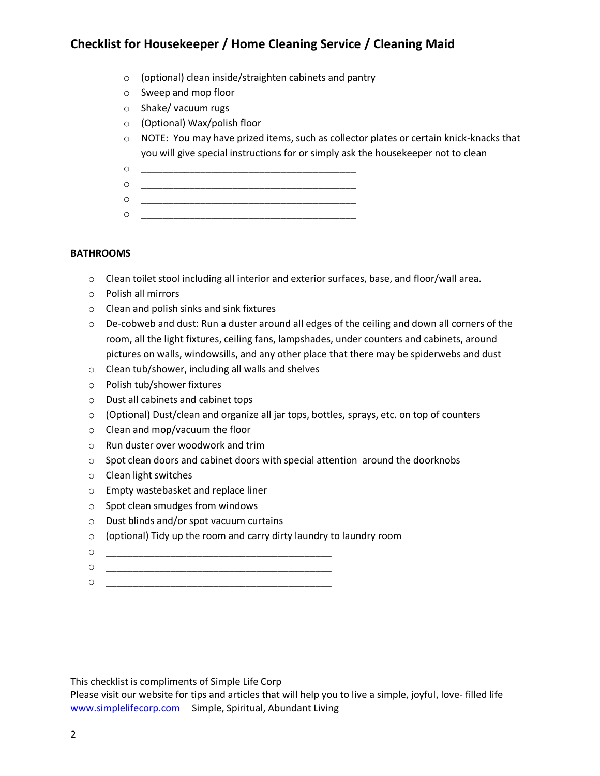- o (optional) clean inside/straighten cabinets and pantry
- o Sweep and mop floor
- o Shake/ vacuum rugs
- o (Optional) Wax/polish floor
- $\circ$  NOTE: You may have prized items, such as collector plates or certain knick-knacks that you will give special instructions for or simply ask the housekeeper not to clean
- o \_\_\_\_\_\_\_\_\_\_\_\_\_\_\_\_\_\_\_\_\_\_\_\_\_\_\_\_\_\_\_\_\_\_\_\_\_\_\_\_
- o \_\_\_\_\_\_\_\_\_\_\_\_\_\_\_\_\_\_\_\_\_\_\_\_\_\_\_\_\_\_\_\_\_\_\_\_\_\_\_\_
- o \_\_\_\_\_\_\_\_\_\_\_\_\_\_\_\_\_\_\_\_\_\_\_\_\_\_\_\_\_\_\_\_\_\_\_\_\_\_\_\_ o \_\_\_\_\_\_\_\_\_\_\_\_\_\_\_\_\_\_\_\_\_\_\_\_\_\_\_\_\_\_\_\_\_\_\_\_\_\_\_\_

### **BATHROOMS**

- o Clean toilet stool including all interior and exterior surfaces, base, and floor/wall area.
- o Polish all mirrors
- o Clean and polish sinks and sink fixtures
- $\circ$  De-cobweb and dust: Run a duster around all edges of the ceiling and down all corners of the room, all the light fixtures, ceiling fans, lampshades, under counters and cabinets, around pictures on walls, windowsills, and any other place that there may be spiderwebs and dust
- o Clean tub/shower, including all walls and shelves
- o Polish tub/shower fixtures
- o Dust all cabinets and cabinet tops
- o (Optional) Dust/clean and organize all jar tops, bottles, sprays, etc. on top of counters
- o Clean and mop/vacuum the floor
- o Run duster over woodwork and trim
- $\circ$  Spot clean doors and cabinet doors with special attention around the doorknobs
- o Clean light switches
- o Empty wastebasket and replace liner
- o Spot clean smudges from windows
- o Dust blinds and/or spot vacuum curtains
- o (optional) Tidy up the room and carry dirty laundry to laundry room
- o \_\_\_\_\_\_\_\_\_\_\_\_\_\_\_\_\_\_\_\_\_\_\_\_\_\_\_\_\_\_\_\_\_\_\_\_\_\_\_\_\_\_
- $\circ$  \_
- o \_\_\_\_\_\_\_\_\_\_\_\_\_\_\_\_\_\_\_\_\_\_\_\_\_\_\_\_\_\_\_\_\_\_\_\_\_\_\_\_\_\_

This checklist is compliments of Simple Life Corp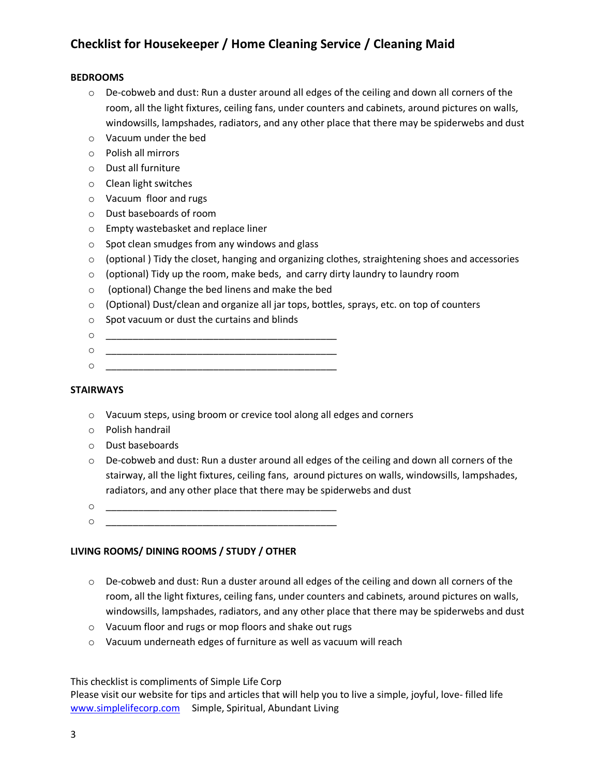#### **BEDROOMS**

- $\circ$  De-cobweb and dust: Run a duster around all edges of the ceiling and down all corners of the room, all the light fixtures, ceiling fans, under counters and cabinets, around pictures on walls, windowsills, lampshades, radiators, and any other place that there may be spiderwebs and dust
- o Vacuum under the bed
- o Polish all mirrors
- o Dust all furniture
- o Clean light switches
- o Vacuum floor and rugs
- o Dust baseboards of room
- o Empty wastebasket and replace liner
- o Spot clean smudges from any windows and glass
- o (optional ) Tidy the closet, hanging and organizing clothes, straightening shoes and accessories
- o (optional) Tidy up the room, make beds, and carry dirty laundry to laundry room
- o (optional) Change the bed linens and make the bed
- o (Optional) Dust/clean and organize all jar tops, bottles, sprays, etc. on top of counters
- o Spot vacuum or dust the curtains and blinds
- o \_\_\_\_\_\_\_\_\_\_\_\_\_\_\_\_\_\_\_\_\_\_\_\_\_\_\_\_\_\_\_\_\_\_\_\_\_\_\_\_\_\_\_
- o \_\_\_\_\_\_\_\_\_\_\_\_\_\_\_\_\_\_\_\_\_\_\_\_\_\_\_\_\_\_\_\_\_\_\_\_\_\_\_\_\_\_\_ o \_\_\_\_\_\_\_\_\_\_\_\_\_\_\_\_\_\_\_\_\_\_\_\_\_\_\_\_\_\_\_\_\_\_\_\_\_\_\_\_\_\_\_

#### **STAIRWAYS**

- o Vacuum steps, using broom or crevice tool along all edges and corners
- o Polish handrail
- o Dust baseboards
- $\circ$  De-cobweb and dust: Run a duster around all edges of the ceiling and down all corners of the stairway, all the light fixtures, ceiling fans, around pictures on walls, windowsills, lampshades, radiators, and any other place that there may be spiderwebs and dust
- $\circ$
- o \_\_\_\_\_\_\_\_\_\_\_\_\_\_\_\_\_\_\_\_\_\_\_\_\_\_\_\_\_\_\_\_\_\_\_\_\_\_\_\_\_\_\_

#### **LIVING ROOMS/ DINING ROOMS / STUDY / OTHER**

- o De-cobweb and dust: Run a duster around all edges of the ceiling and down all corners of the room, all the light fixtures, ceiling fans, under counters and cabinets, around pictures on walls, windowsills, lampshades, radiators, and any other place that there may be spiderwebs and dust
- o Vacuum floor and rugs or mop floors and shake out rugs
- o Vacuum underneath edges of furniture as well as vacuum will reach

This checklist is compliments of Simple Life Corp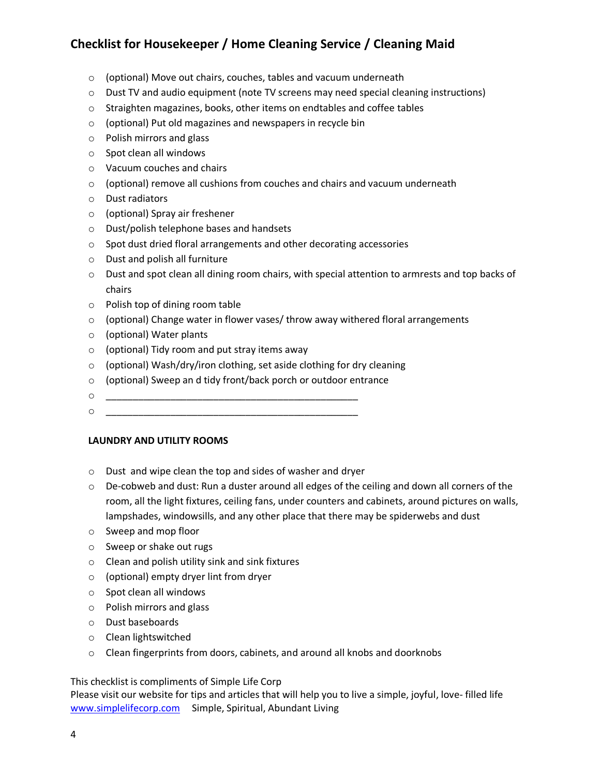- o (optional) Move out chairs, couches, tables and vacuum underneath
- $\circ$  Dust TV and audio equipment (note TV screens may need special cleaning instructions)
- o Straighten magazines, books, other items on endtables and coffee tables
- o (optional) Put old magazines and newspapers in recycle bin
- o Polish mirrors and glass
- o Spot clean all windows
- o Vacuum couches and chairs
- o (optional) remove all cushions from couches and chairs and vacuum underneath
- o Dust radiators
- o (optional) Spray air freshener
- o Dust/polish telephone bases and handsets
- o Spot dust dried floral arrangements and other decorating accessories
- o Dust and polish all furniture
- o Dust and spot clean all dining room chairs, with special attention to armrests and top backs of chairs
- o Polish top of dining room table
- $\circ$  (optional) Change water in flower vases/throw away withered floral arrangements
- o (optional) Water plants
- o (optional) Tidy room and put stray items away
- o (optional) Wash/dry/iron clothing, set aside clothing for dry cleaning
- o (optional) Sweep an d tidy front/back porch or outdoor entrance
- o \_\_\_\_\_\_\_\_\_\_\_\_\_\_\_\_\_\_\_\_\_\_\_\_\_\_\_\_\_\_\_\_\_\_\_\_\_\_\_\_\_\_\_\_\_\_\_
- $\circ$

#### **LAUNDRY AND UTILITY ROOMS**

- o Dust and wipe clean the top and sides of washer and dryer
- $\circ$  De-cobweb and dust: Run a duster around all edges of the ceiling and down all corners of the room, all the light fixtures, ceiling fans, under counters and cabinets, around pictures on walls, lampshades, windowsills, and any other place that there may be spiderwebs and dust
- o Sweep and mop floor
- o Sweep or shake out rugs
- o Clean and polish utility sink and sink fixtures
- o (optional) empty dryer lint from dryer
- o Spot clean all windows
- o Polish mirrors and glass
- o Dust baseboards
- o Clean lightswitched
- o Clean fingerprints from doors, cabinets, and around all knobs and doorknobs

This checklist is compliments of Simple Life Corp